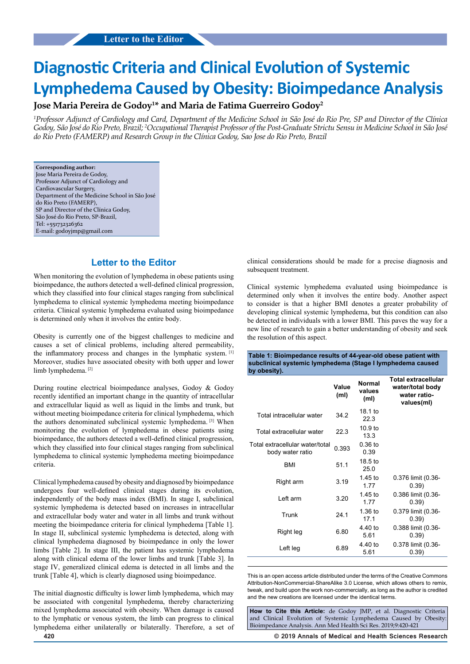# **Diagnostic Criteria and Clinical Evolution of Systemic Lymphedema Caused by Obesity: Bioimpedance Analysis**

## **Jose Maria Pereira de Godoy1 \* and Maria de Fatima Guerreiro Godoy2**

*1 Professor Adjunct of Cardiology and Card, Department of the Medicine School in São José do Rio Pre, SP and Director of the Clínica Godoy, São José do Rio Preto, Brazil; 2 Occupational Therapist Professor of the Post-Graduate Strictu Sensu in Medicine School in São José do Rio Preto (FAMERP) and Research Group in the Clínica Godoy, Sao Jose do Rio Preto, Brazil*

**Corresponding author:** Jose Maria Pereira de Godoy, Professor Adjunct of Cardiology and Cardiovascular Surgery, Department of the Medicine School in São José do Rio Preto (FAMERP), SP and Director of the Clínica Godoy, São José do Rio Preto, SP-Brazil, Tel: +551732326362 E-mail: godoyjmp@gmail.com

# **Letter to the Editor**

When monitoring the evolution of lymphedema in obese patients using bioimpedance, the authors detected a well-defined clinical progression, which they classified into four clinical stages ranging from subclinical lymphedema to clinical systemic lymphedema meeting bioimpedance criteria. Clinical systemic lymphedema evaluated using bioimpedance is determined only when it involves the entire body.

Obesity is currently one of the biggest challenges to medicine and causes a set of clinical problems, including altered permeability, the inflammatory process and changes in the lymphatic system. [1] Moreover, studies have associated obesity with both upper and lower limb lymphedema.<sup>[2]</sup>

During routine electrical bioimpedance analyses, Godoy & Godoy recently identified an important change in the quantity of intracellular and extracellular liquid as well as liquid in the limbs and trunk, but without meeting bioimpedance criteria for clinical lymphedema, which the authors denominated subclinical systemic lymphedema. [3] When monitoring the evolution of lymphedema in obese patients using bioimpedance, the authors detected a well-defined clinical progression, which they classified into four clinical stages ranging from subclinical lymphedema to clinical systemic lymphedema meeting bioimpedance criteria.

Clinical lymphedema caused by obesity and diagnosed by bioimpedance undergoes four well-defined clinical stages during its evolution, independently of the body mass index (BMI). In stage I, subclinical systemic lymphedema is detected based on increases in intracellular and extracellular body water and water in all limbs and trunk without meeting the bioimpedance criteria for clinical lymphedema [Table 1]. In stage II, subclinical systemic lymphedema is detected, along with clinical lymphedema diagnosed by bioimpedance in only the lower limbs [Table 2]. In stage III, the patient has systemic lymphedema along with clinical edema of the lower limbs and trunk [Table 3]. In stage IV, generalized clinical edema is detected in all limbs and the trunk [Table 4], which is clearly diagnosed using bioimpedance.

The initial diagnostic difficulty is lower limb lymphedema, which may be associated with congenital lymphedema, thereby characterizing mixed lymphedema associated with obesity. When damage is caused to the lymphatic or venous system, the limb can progress to clinical lymphedema either unilaterally or bilaterally. Therefore, a set of clinical considerations should be made for a precise diagnosis and subsequent treatment.

Clinical systemic lymphedema evaluated using bioimpedance is determined only when it involves the entire body. Another aspect to consider is that a higher BMI denotes a greater probability of developing clinical systemic lymphedema, but this condition can also be detected in individuals with a lower BMI. This paves the way for a new line of research to gain a better understanding of obesity and seek the resolution of this aspect.

**Table 1: Bioimpedance results of 44-year-old obese patient with subclinical systemic lymphedema (Stage I lymphedema caused by obesity).**

|                                                     | Value<br>(m <sub>l</sub> ) | <b>Normal</b><br>values<br>(m <sub>l</sub> ) | <b>Total extracellular</b><br>water/total body<br>water ratio-<br>values(ml) |
|-----------------------------------------------------|----------------------------|----------------------------------------------|------------------------------------------------------------------------------|
| Total intracellular water                           | 34.2                       | 18.1 to<br>22.3                              |                                                                              |
| Total extracellular water                           | 22.3                       | 10.9 to<br>13.3                              |                                                                              |
| Total extracellular water/total<br>body water ratio | 0.393                      | $0.36$ to<br>0.39                            |                                                                              |
| BMI                                                 | 51.1                       | 18.5 to<br>25.0                              |                                                                              |
| Right arm                                           | 3.19                       | $1.45$ to<br>1.77                            | 0.376 limit (0.36-<br>0.39)                                                  |
| I eft arm                                           | 3.20                       | $1.45$ to<br>1.77                            | 0.386 limit (0.36-<br>0.39)                                                  |
| Trunk                                               | 24.1                       | $1.36$ to<br>17.1                            | 0.379 limit (0.36-<br>0.39)                                                  |
| Right leg                                           | 6.80                       | 4.40 to<br>5.61                              | 0.388 limit (0.36-<br>0.39)                                                  |
| Left leg                                            | 6.89                       | 4.40 to<br>5.61                              | 0.378 limit (0.36-<br>0.39)                                                  |

This is an open access article distributed under the terms of the Creative Commons Attribution‑NonCommercial‑ShareAlike 3.0 License, which allows others to remix, tweak, and build upon the work non‑commercially, as long as the author is credited and the new creations are licensed under the identical terms.

**How to Cite this Article:** de Godoy JMP, et al. Diagnostic Criteria and Clinical Evolution of Systemic Lymphedema Caused by Obesity: Bioimpedance Analysis. Ann Med Health Sci Res. 2019;9:420-421

**420 © 2019 Annals of Medical and Health Sciences Research**